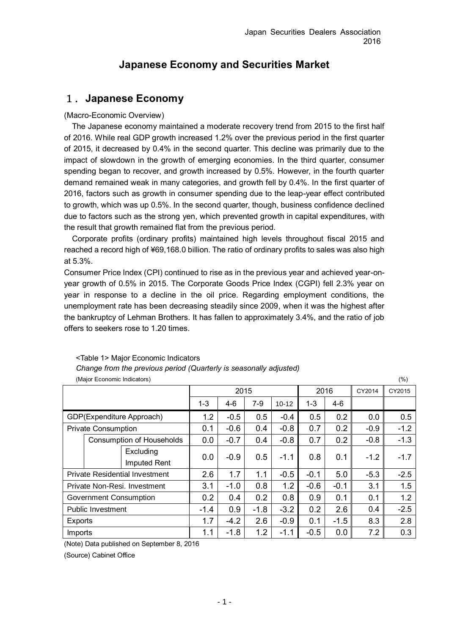# **Japanese Economy and Securities Market**

# 1.**Japanese Economy**

## (Macro-Economic Overview)

The Japanese economy maintained a moderate recovery trend from 2015 to the first half of 2016. While real GDP growth increased 1.2% over the previous period in the first quarter of 2015, it decreased by 0.4% in the second quarter. This decline was primarily due to the impact of slowdown in the growth of emerging economies. In the third quarter, consumer spending began to recover, and growth increased by 0.5%. However, in the fourth quarter demand remained weak in many categories, and growth fell by 0.4%. In the first quarter of 2016, factors such as growth in consumer spending due to the leap-year effect contributed to growth, which was up 0.5%. In the second quarter, though, business confidence declined due to factors such as the strong yen, which prevented growth in capital expenditures, with the result that growth remained flat from the previous period.

Corporate profits (ordinary profits) maintained high levels throughout fiscal 2015 and reached a record high of ¥69,168.0 billion. The ratio of ordinary profits to sales was also high at 5.3%.

Consumer Price Index (CPI) continued to rise as in the previous year and achieved year-onyear growth of 0.5% in 2015. The Corporate Goods Price Index (CGPI) fell 2.3% year on year in response to a decline in the oil price. Regarding employment conditions, the unemployment rate has been decreasing steadily since 2009, when it was the highest after the bankruptcy of Lehman Brothers. It has fallen to approximately 3.4%, and the ratio of job offers to seekers rose to 1.20 times.

| (Major Economic Indicators)   |                                       |         |         |        |           |         |        | (% )   |        |
|-------------------------------|---------------------------------------|---------|---------|--------|-----------|---------|--------|--------|--------|
|                               |                                       |         | 2015    |        |           | 2016    |        | CY2014 | CY2015 |
|                               |                                       | $1 - 3$ | $4 - 6$ | $7-9$  | $10 - 12$ | $1 - 3$ | 4-6    |        |        |
|                               | GDP(Expenditure Approach)             | 1.2     | $-0.5$  | 0.5    | $-0.4$    | 0.5     | 0.2    | 0.0    | 0.5    |
|                               | <b>Private Consumption</b>            | 0.1     | $-0.6$  | 0.4    | $-0.8$    | 0.7     | 0.2    | $-0.9$ | $-1.2$ |
|                               | <b>Consumption of Households</b>      | 0.0     | $-0.7$  | 0.4    | $-0.8$    | 0.7     | 0.2    | $-0.8$ | $-1.3$ |
|                               | Excluding                             | 0.0     | $-0.9$  | 0.5    | $-1.1$    | 0.8     | 0.1    | $-1.2$ | $-1.7$ |
|                               | Imputed Rent                          |         |         |        |           |         |        |        |        |
|                               | <b>Private Residential Investment</b> | 2.6     | 1.7     | 1.1    | $-0.5$    | $-0.1$  | 5.0    | $-5.3$ | $-2.5$ |
|                               | Private Non-Resi. Investment          | 3.1     | $-1.0$  | 0.8    | 1.2       | $-0.6$  | $-0.1$ | 3.1    | 1.5    |
| <b>Government Consumption</b> |                                       | 0.2     | 0.4     | 0.2    | 0.8       | 0.9     | 0.1    | 0.1    | 1.2    |
| <b>Public Investment</b>      |                                       | $-1.4$  | 0.9     | $-1.8$ | $-3.2$    | 0.2     | 2.6    | 0.4    | $-2.5$ |
| Exports                       |                                       | 1.7     | $-4.2$  | 2.6    | $-0.9$    | 0.1     | $-1.5$ | 8.3    | 2.8    |
| Imports                       |                                       | 1.1     | $-1.8$  | 1.2    | $-1.1$    | $-0.5$  | 0.0    | 7.2    | 0.3    |

<Table 1> Major Economic Indicators *Change from the previous period (Quarterly is seasonally adjusted)*

(Note) Data published on September 8, 2016

(Source) Cabinet Office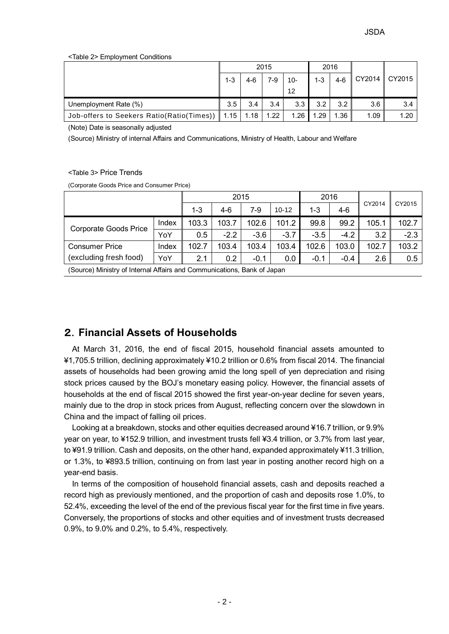<Table 2> Employment Conditions

|                                                  | 2015    |      |      | 2016   |         |       |        |        |
|--------------------------------------------------|---------|------|------|--------|---------|-------|--------|--------|
|                                                  | $1 - 3$ | 4-6  | 7-9  | $10 -$ | $1 - 3$ | $4-6$ | CY2014 | CY2015 |
|                                                  |         |      |      | 12     |         |       |        |        |
| Unemployment Rate (%)                            | 3.5     | 3.4  | 3.4  | 3.3    | 3.2     | 3.2   | 3.6    | 3.4    |
| Job-offers to Seekers Ratio(Ratio(Times))   1.15 |         | 1.18 | 1.22 | 1.26   | 1.29    | 1.36  | 1.09   | 1.20   |

(Note) Date is seasonally adjusted

(Source) Ministry of internal Affairs and Communications, Ministry of Health, Labour and Welfare

### <Table 3> Price Trends

(Corporate Goods Price and Consumer Price)

|                                                                         | 2015    |       |        |           | 2016    |        |        | CY2015 |        |
|-------------------------------------------------------------------------|---------|-------|--------|-----------|---------|--------|--------|--------|--------|
|                                                                         | $1 - 3$ | 4-6   | 7-9    | $10 - 12$ | $1 - 3$ | $4-6$  | CY2014 |        |        |
| Corporate Goods Price                                                   | Index   | 103.3 | 103.7  | 102.6     | 101.2   | 99.8   | 99.2   | 105.1  | 102.7  |
|                                                                         | YoY     | 0.5   | $-2.2$ | $-3.6$    | $-3.7$  | $-3.5$ | $-4.2$ | 3.2    | $-2.3$ |
| <b>Consumer Price</b>                                                   | Index   | 102.7 | 103.4  | 103.4     | 103.4   | 102.6  | 103.0  | 102.7  | 103.2  |
| (excluding fresh food)<br>YoY                                           |         | 2.1   | 0.2    | $-0.1$    | 0.0     | $-0.1$ | $-0.4$ | 2.6    | 0.5    |
| (Source) Ministry of Internal Affairs and Communications, Bank of Japan |         |       |        |           |         |        |        |        |        |

(Source) Ministry of Internal Affairs and Communications, Bank of Japan

# 2.**Financial Assets of Households**

At March 31, 2016, the end of fiscal 2015, household financial assets amounted to ¥1,705.5 trillion, declining approximately ¥10.2 trillion or 0.6% from fiscal 2014. The financial assets of households had been growing amid the long spell of yen depreciation and rising stock prices caused by the BOJ's monetary easing policy. However, the financial assets of households at the end of fiscal 2015 showed the first year-on-year decline for seven years, mainly due to the drop in stock prices from August, reflecting concern over the slowdown in China and the impact of falling oil prices.

Looking at a breakdown, stocks and other equities decreased around ¥16.7 trillion, or 9.9% year on year, to ¥152.9 trillion, and investment trusts fell ¥3.4 trillion, or 3.7% from last year, to ¥91.9 trillion. Cash and deposits, on the other hand, expanded approximately ¥11.3 trillion, or 1.3%, to ¥893.5 trillion, continuing on from last year in posting another record high on a year-end basis.

In terms of the composition of household financial assets, cash and deposits reached a record high as previously mentioned, and the proportion of cash and deposits rose 1.0%, to 52.4%, exceeding the level of the end of the previous fiscal year for the first time in five years. Conversely, the proportions of stocks and other equities and of investment trusts decreased 0.9%, to 9.0% and 0.2%, to 5.4%, respectively.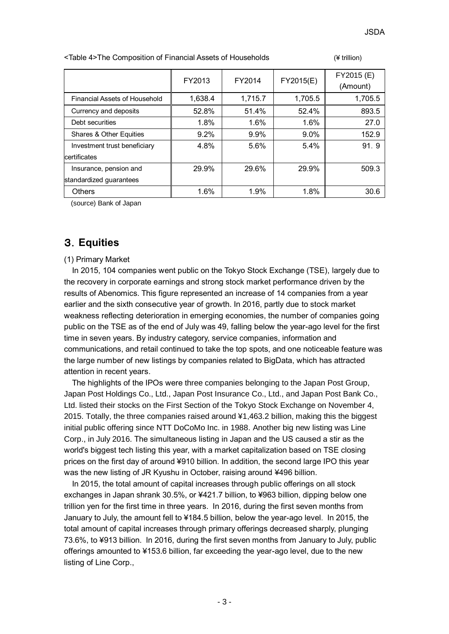| <table 4="">The Composition of Financial Assets of Households</table> | $(4$ trillion) |
|-----------------------------------------------------------------------|----------------|
|-----------------------------------------------------------------------|----------------|

|                                    | FY2013  | FY2014  | FY2015(E) | FY2015 (E)<br>(Amount) |
|------------------------------------|---------|---------|-----------|------------------------|
| Financial Assets of Household      | 1,638.4 | 1,715.7 | 1,705.5   | 1,705.5                |
| Currency and deposits              | 52.8%   | 51.4%   | 52.4%     | 893.5                  |
| Debt securities                    | 1.8%    | 1.6%    | 1.6%      | 27.0                   |
| <b>Shares &amp; Other Equities</b> | $9.2\%$ | $9.9\%$ | $9.0\%$   | 152.9                  |
| Investment trust beneficiary       | 4.8%    | 5.6%    | $5.4\%$   | 91.9                   |
| certificates                       |         |         |           |                        |
| Insurance, pension and             | 29.9%   | 29.6%   | 29.9%     | 509.3                  |
| standardized quarantees            |         |         |           |                        |
| <b>Others</b>                      | 1.6%    | 1.9%    | 1.8%      | 30.6                   |

(source) Bank of Japan

# 3.**Equities**

### (1) Primary Market

In 2015, 104 companies went public on the Tokyo Stock Exchange (TSE), largely due to the recovery in corporate earnings and strong stock market performance driven by the results of Abenomics. This figure represented an increase of 14 companies from a year earlier and the sixth consecutive year of growth. In 2016, partly due to stock market weakness reflecting deterioration in emerging economies, the number of companies going public on the TSE as of the end of July was 49, falling below the year-ago level for the first time in seven years. By industry category, service companies, information and communications, and retail continued to take the top spots, and one noticeable feature was the large number of new listings by companies related to BigData, which has attracted attention in recent years.

The highlights of the IPOs were three companies belonging to the Japan Post Group, Japan Post Holdings Co., Ltd., Japan Post Insurance Co., Ltd., and Japan Post Bank Co., Ltd. listed their stocks on the First Section of the Tokyo Stock Exchange on November 4, 2015. Totally, the three companies raised around ¥1,463.2 billion, making this the biggest initial public offering since NTT DoCoMo Inc. in 1988. Another big new listing was Line Corp., in July 2016. The simultaneous listing in Japan and the US caused a stir as the world's biggest tech listing this year, with a market capitalization based on TSE closing prices on the first day of around ¥910 billion. In addition, the second large IPO this year was the new listing of JR Kyushu in October, raising around ¥496 billion.

In 2015, the total amount of capital increases through public offerings on all stock exchanges in Japan shrank 30.5%, or ¥421.7 billion, to ¥963 billion, dipping below one trillion yen for the first time in three years. In 2016, during the first seven months from January to July, the amount fell to ¥184.5 billion, below the year-ago level. In 2015, the total amount of capital increases through primary offerings decreased sharply, plunging 73.6%, to ¥913 billion. In 2016, during the first seven months from January to July, public offerings amounted to ¥153.6 billion, far exceeding the year-ago level, due to the new listing of Line Corp.,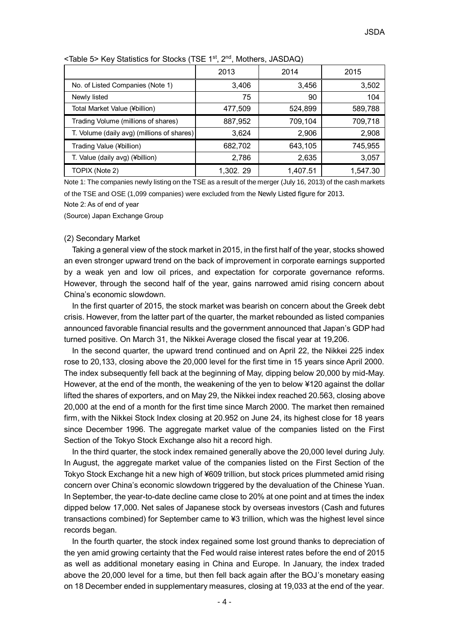|                                            | 2013     | 2014     | 2015     |
|--------------------------------------------|----------|----------|----------|
| No. of Listed Companies (Note 1)           | 3,406    | 3,456    | 3,502    |
| Newly listed                               | 75       | 90       | 104      |
| Total Market Value (¥billion)              | 477,509  | 524,899  | 589,788  |
| Trading Volume (millions of shares)        | 887,952  | 709,104  | 709,718  |
| T. Volume (daily avg) (millions of shares) | 3,624    | 2,906    | 2,908    |
| Trading Value (¥billion)                   | 682,702  | 643,105  | 745,955  |
| T. Value (daily avg) (¥billion)            | 2,786    | 2,635    | 3,057    |
| TOPIX (Note 2)                             | 1,302.29 | 1,407.51 | 1,547.30 |

<Table 5> Key Statistics for Stocks (TSE 1st, 2nd, Mothers, JASDAQ)

Note 1: The companies newly listing on the TSE as a result of the merger (July 16, 2013) of the cash markets of the TSE and OSE (1,099 companies) were excluded from the Newly Listed figure for 2013.

Note 2: As of end of year

(Source) Japan Exchange Group

#### (2) Secondary Market

Taking a general view of the stock market in 2015, in the first half of the year, stocks showed an even stronger upward trend on the back of improvement in corporate earnings supported by a weak yen and low oil prices, and expectation for corporate governance reforms. However, through the second half of the year, gains narrowed amid rising concern about China's economic slowdown.

In the first quarter of 2015, the stock market was bearish on concern about the Greek debt crisis. However, from the latter part of the quarter, the market rebounded as listed companies announced favorable financial results and the government announced that Japan's GDP had turned positive. On March 31, the Nikkei Average closed the fiscal year at 19,206.

In the second quarter, the upward trend continued and on April 22, the Nikkei 225 index rose to 20,133, closing above the 20,000 level for the first time in 15 years since April 2000. The index subsequently fell back at the beginning of May, dipping below 20,000 by mid-May. However, at the end of the month, the weakening of the yen to below ¥120 against the dollar lifted the shares of exporters, and on May 29, the Nikkei index reached 20.563, closing above 20,000 at the end of a month for the first time since March 2000. The market then remained firm, with the Nikkei Stock Index closing at 20.952 on June 24, its highest close for 18 years since December 1996. The aggregate market value of the companies listed on the First Section of the Tokyo Stock Exchange also hit a record high.

In the third quarter, the stock index remained generally above the 20,000 level during July. In August, the aggregate market value of the companies listed on the First Section of the Tokyo Stock Exchange hit a new high of ¥609 trillion, but stock prices plummeted amid rising concern over China's economic slowdown triggered by the devaluation of the Chinese Yuan. In September, the year-to-date decline came close to 20% at one point and at times the index dipped below 17,000. Net sales of Japanese stock by overseas investors (Cash and futures transactions combined) for September came to ¥3 trillion, which was the highest level since records began.

In the fourth quarter, the stock index regained some lost ground thanks to depreciation of the yen amid growing certainty that the Fed would raise interest rates before the end of 2015 as well as additional monetary easing in China and Europe. In January, the index traded above the 20,000 level for a time, but then fell back again after the BOJ's monetary easing on 18 December ended in supplementary measures, closing at 19,033 at the end of the year.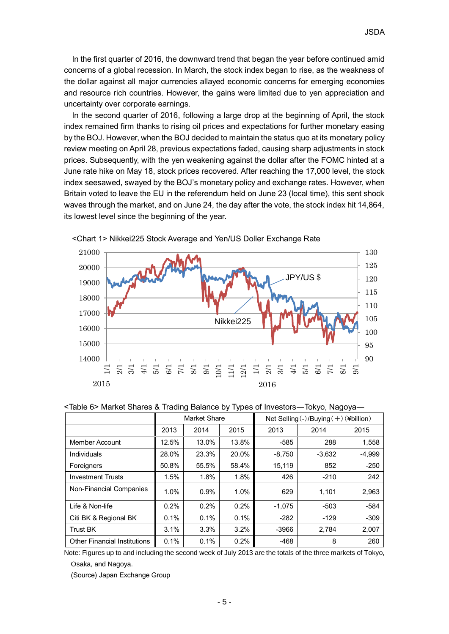In the first quarter of 2016, the downward trend that began the year before continued amid concerns of a global recession. In March, the stock index began to rise, as the weakness of the dollar against all major currencies allayed economic concerns for emerging economies and resource rich countries. However, the gains were limited due to yen appreciation and uncertainty over corporate earnings.

In the second quarter of 2016, following a large drop at the beginning of April, the stock index remained firm thanks to rising oil prices and expectations for further monetary easing by the BOJ. However, when the BOJ decided to maintain the status quo at its monetary policy review meeting on April 28, previous expectations faded, causing sharp adjustments in stock prices. Subsequently, with the yen weakening against the dollar after the FOMC hinted at a June rate hike on May 18, stock prices recovered. After reaching the 17,000 level, the stock index seesawed, swayed by the BOJ's monetary policy and exchange rates. However, when Britain voted to leave the EU in the referendum held on June 23 (local time), this sent shock waves through the market, and on June 24, the day after the vote, the stock index hit 14,864, its lowest level since the beginning of the year.



### <Chart 1> Nikkei225 Stock Average and Yen/US Doller Exchange Rate

<Table 6> Market Shares & Trading Balance by Types of Investors―Tokyo, Nagoya―

|                                     | <b>Market Share</b> |       |       | Net Selling $\langle - \rangle$ /Buying $(+)$ (¥billion) |          |          |  |
|-------------------------------------|---------------------|-------|-------|----------------------------------------------------------|----------|----------|--|
|                                     | 2013                | 2014  | 2015  | 2013                                                     | 2014     | 2015     |  |
| Member Account                      | 12.5%               | 13.0% | 13.8% | $-585$                                                   | 288      | 1,558    |  |
| Individuals                         | 28.0%               | 23.3% | 20.0% | $-8,750$                                                 | $-3,632$ | $-4,999$ |  |
| Foreigners                          | 50.8%               | 55.5% | 58.4% | 15,119                                                   | 852      | $-250$   |  |
| <b>Investment Trusts</b>            | 1.5%                | 1.8%  | 1.8%  | 426                                                      | $-210$   | 242      |  |
| Non-Financial Companies             | 1.0%                | 0.9%  | 1.0%  | 629                                                      | 1,101    | 2,963    |  |
| Life & Non-life                     | 0.2%                | 0.2%  | 0.2%  | $-1,075$                                                 | $-503$   | $-584$   |  |
| Citi BK & Regional BK               | 0.1%                | 0.1%  | 0.1%  | $-282$                                                   | $-129$   | $-309$   |  |
| <b>Trust BK</b>                     | 3.1%                | 3.3%  | 3.2%  | $-3966$                                                  | 2.784    | 2,007    |  |
| <b>Other Financial Institutions</b> | 0.1%                | 0.1%  | 0.2%  | $-468$                                                   | 8        | 260      |  |

Note: Figures up to and including the second week of July 2013 are the totals of the three markets of Tokyo, Osaka, and Nagoya.

(Source) Japan Exchange Group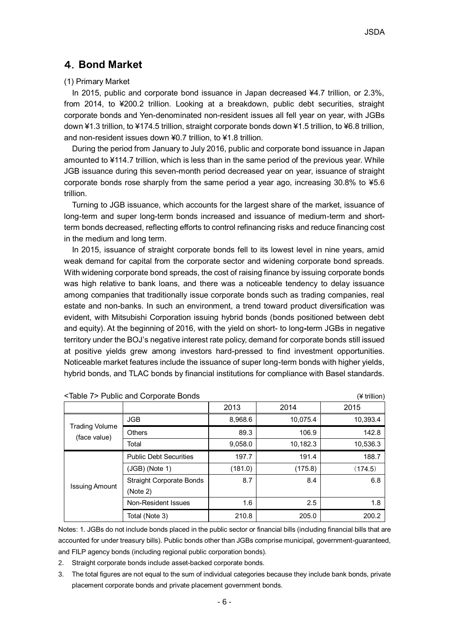## 4.**Bond Market**

### (1) Primary Market

In 2015, public and corporate bond issuance in Japan decreased ¥4.7 trillion, or 2.3%, from 2014, to ¥200.2 trillion. Looking at a breakdown, public debt securities, straight corporate bonds and Yen-denominated non-resident issues all fell year on year, with JGBs down ¥1.3 trillion, to ¥174.5 trillion, straight corporate bonds down ¥1.5 trillion, to ¥6.8 trillion, and non-resident issues down ¥0.7 trillion, to ¥1.8 trillion.

During the period from January to July 2016, public and corporate bond issuance in Japan amounted to ¥114.7 trillion, which is less than in the same period of the previous year. While JGB issuance during this seven-month period decreased year on year, issuance of straight corporate bonds rose sharply from the same period a year ago, increasing 30.8% to ¥5.6 trillion.

Turning to JGB issuance, which accounts for the largest share of the market, issuance of long-term and super long-term bonds increased and issuance of medium-term and shortterm bonds decreased, reflecting efforts to control refinancing risks and reduce financing cost in the medium and long term.

In 2015, issuance of straight corporate bonds fell to its lowest level in nine years, amid weak demand for capital from the corporate sector and widening corporate bond spreads. With widening corporate bond spreads, the cost of raising finance by issuing corporate bonds was high relative to bank loans, and there was a noticeable tendency to delay issuance among companies that traditionally issue corporate bonds such as trading companies, real estate and non-banks. In such an environment, a trend toward product diversification was evident, with Mitsubishi Corporation issuing hybrid bonds (bonds positioned between debt and equity). At the beginning of 2016, with the yield on short- to long**-**term JGBs in negative territory under the BOJ's negative interest rate policy, demand for corporate bonds still issued at positive yields grew among investors hard-pressed to find investment opportunities. Noticeable market features include the issuance of super long-term bonds with higher yields, hybrid bonds, and TLAC bonds by financial institutions for compliance with Basel standards.

|                                |                                 | 2013    | 2014     | 2015     |
|--------------------------------|---------------------------------|---------|----------|----------|
| Trading Volume<br>(face value) | <b>JGB</b>                      | 8,968.6 | 10,075.4 | 10,393.4 |
|                                | <b>Others</b>                   | 89.3    | 106.9    | 142.8    |
|                                | Total                           | 9,058.0 | 10,182.3 | 10,536.3 |
|                                | <b>Public Debt Securities</b>   | 197.7   | 191.4    | 188.7    |
|                                | (JGB) (Note 1)                  | (181.0) | (175.8)  | (174.5)  |
|                                | <b>Straight Corporate Bonds</b> | 8.7     | 8.4      | 6.8      |
| Issuing Amount                 | (Note 2)                        |         |          |          |
|                                | Non-Resident Issues             | 1.6     | 2.5      | 1.8      |
|                                | Total (Note 3)                  | 210.8   | 205.0    | 200.2    |

|  | <table 7=""> Public and Corporate Bonds</table> | (¥ trillion) |
|--|-------------------------------------------------|--------------|
|--|-------------------------------------------------|--------------|

Notes: 1. JGBs do not include bonds placed in the public sector or financial bills (including financial bills that are accounted for under treasury bills). Public bonds other than JGBs comprise municipal, government-guaranteed, and FILP agency bonds (including regional public corporation bonds).

- 2. Straight corporate bonds include asset-backed corporate bonds.
- 3. The total figures are not equal to the sum of individual categories because they include bank bonds, private placement corporate bonds and private placement government bonds.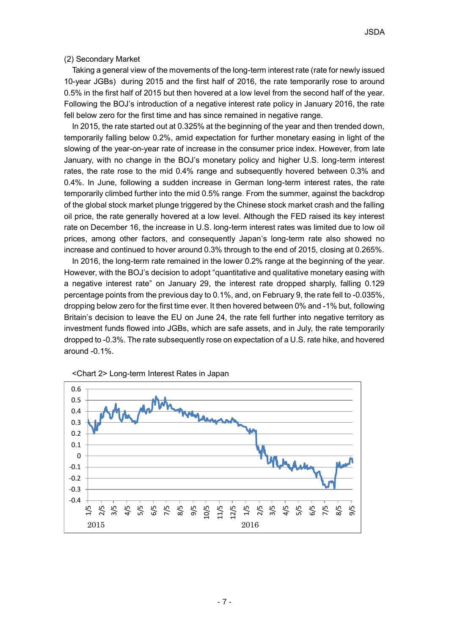#### (2) Secondary Market

Taking a general view of the movements of the long-term interest rate (rate for newly issued 10-year JGBs) during 2015 and the first half of 2016, the rate temporarily rose to around 0.5% in the first half of 2015 but then hovered at a low level from the second half of the year. Following the BOJ's introduction of a negative interest rate policy in January 2016, the rate fell below zero for the first time and has since remained in negative range.

In 2015, the rate started out at 0.325% at the beginning of the year and then trended down, temporarily falling below 0.2%, amid expectation for further monetary easing in light of the slowing of the year-on-year rate of increase in the consumer price index. However, from late January, with no change in the BOJ's monetary policy and higher U.S. long-term interest rates, the rate rose to the mid 0.4% range and subsequently hovered between 0.3% and 0.4%. In June, following a sudden increase in German long-term interest rates, the rate temporarily climbed further into the mid 0.5% range. From the summer, against the backdrop of the global stock market plunge triggered by the Chinese stock market crash and the falling oil price, the rate generally hovered at a low level. Although the FED raised its key interest rate on December 16, the increase in U.S. long-term interest rates was limited due to low oil prices, among other factors, and consequently Japan's long-term rate also showed no increase and continued to hover around 0.3% through to the end of 2015, closing at 0.265%.

In 2016, the long-term rate remained in the lower 0.2% range at the beginning of the year. However, with the BOJ's decision to adopt "quantitative and qualitative monetary easing with a negative interest rate" on January 29, the interest rate dropped sharply, falling 0.129 percentage points from the previous day to 0.1%, and, on February 9, the rate fell to -0.035%, dropping below zero for the first time ever. It then hovered between 0% and -1% but, following Britain's decision to leave the EU on June 24, the rate fell further into negative territory as investment funds flowed into JGBs, which are safe assets, and in July, the rate temporarily dropped to -0.3%. The rate subsequently rose on expectation of a U.S. rate hike, and hovered around -0.1%.



<Chart 2> Long-term Interest Rates in Japan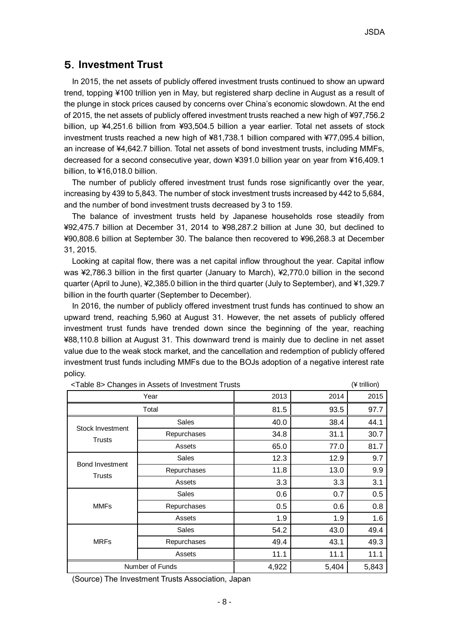# 5.**Investment Trust**

In 2015, the net assets of publicly offered investment trusts continued to show an upward trend, topping ¥100 trillion yen in May, but registered sharp decline in August as a result of the plunge in stock prices caused by concerns over China's economic slowdown. At the end of 2015, the net assets of publicly offered investment trusts reached a new high of ¥97,756.2 billion, up ¥4,251.6 billion from ¥93,504.5 billion a year earlier. Total net assets of stock investment trusts reached a new high of ¥81,738.1 billion compared with ¥77,095.4 billion, an increase of ¥4,642.7 billion. Total net assets of bond investment trusts, including MMFs, decreased for a second consecutive year, down ¥391.0 billion year on year from ¥16,409.1 billion, to ¥16,018.0 billion.

The number of publicly offered investment trust funds rose significantly over the year, increasing by 439 to 5,843. The number of stock investment trusts increased by 442 to 5,684, and the number of bond investment trusts decreased by 3 to 159.

The balance of investment trusts held by Japanese households rose steadily from ¥92,475.7 billion at December 31, 2014 to ¥98,287.2 billion at June 30, but declined to ¥90,808.6 billion at September 30. The balance then recovered to ¥96,268.3 at December 31, 2015.

Looking at capital flow, there was a net capital inflow throughout the year. Capital inflow was ¥2,786.3 billion in the first quarter (January to March), ¥2,770.0 billion in the second quarter (April to June), ¥2,385.0 billion in the third quarter (July to September), and ¥1,329.7 billion in the fourth quarter (September to December).

In 2016, the number of publicly offered investment trust funds has continued to show an upward trend, reaching 5,960 at August 31. However, the net assets of publicly offered investment trust funds have trended down since the beginning of the year, reaching ¥88,110.8 billion at August 31. This downward trend is mainly due to decline in net asset value due to the weak stock market, and the cancellation and redemption of publicly offered investment trust funds including MMFs due to the BOJs adoption of a negative interest rate policy.

|                                         | Year            | 2013  | 2014  | 2015  |
|-----------------------------------------|-----------------|-------|-------|-------|
|                                         | Total           | 81.5  | 93.5  | 97.7  |
| Stock Investment<br><b>Trusts</b>       | Sales           | 40.0  | 38.4  | 44.1  |
|                                         | Repurchases     | 34.8  | 31.1  | 30.7  |
|                                         | Assets          | 65.0  | 77.0  | 81.7  |
| <b>Bond Investment</b><br><b>Trusts</b> | Sales           | 12.3  | 12.9  | 9.7   |
|                                         | Repurchases     | 11.8  | 13.0  | 9.9   |
|                                         | Assets          | 3.3   | 3.3   | 3.1   |
|                                         | <b>Sales</b>    | 0.6   | 0.7   | 0.5   |
| <b>MMFs</b>                             | Repurchases     | 0.5   | 0.6   | 0.8   |
|                                         | Assets          | 1.9   | 1.9   | 1.6   |
|                                         | Sales           | 54.2  | 43.0  | 49.4  |
| <b>MRFs</b>                             | Repurchases     | 49.4  | 43.1  | 49.3  |
|                                         | Assets          | 11.1  | 11.1  | 11.1  |
|                                         | Number of Funds | 4,922 | 5,404 | 5,843 |

<Table 8> Changes in Assets of Investment Trusts (¥ trillion)

(Source) The Investment Trusts Association, Japan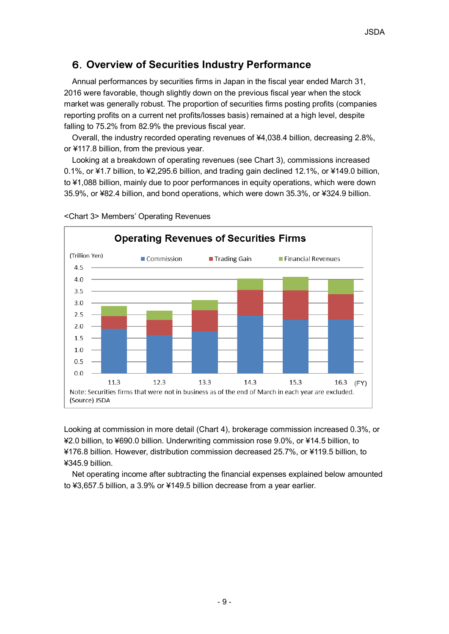# 6.**Overview of Securities Industry Performance**

Annual performances by securities firms in Japan in the fiscal year ended March 31, 2016 were favorable, though slightly down on the previous fiscal year when the stock market was generally robust. The proportion of securities firms posting profits (companies reporting profits on a current net profits/losses basis) remained at a high level, despite falling to 75.2% from 82.9% the previous fiscal year.

Overall, the industry recorded operating revenues of ¥4,038.4 billion, decreasing 2.8%, or ¥117.8 billion, from the previous year.

Looking at a breakdown of operating revenues (see Chart 3), commissions increased 0.1%, or ¥1.7 billion, to ¥2,295.6 billion, and trading gain declined 12.1%, or ¥149.0 billion, to ¥1,088 billion, mainly due to poor performances in equity operations, which were down 35.9%, or ¥82.4 billion, and bond operations, which were down 35.3%, or ¥324.9 billion.



<Chart 3> Members' Operating Revenues

Looking at commission in more detail (Chart 4), brokerage commission increased 0.3%, or ¥2.0 billion, to ¥690.0 billion. Underwriting commission rose 9.0%, or ¥14.5 billion, to ¥176.8 billion. However, distribution commission decreased 25.7%, or ¥119.5 billion, to ¥345.9 billion.

Net operating income after subtracting the financial expenses explained below amounted to ¥3,657.5 billion, a 3.9% or ¥149.5 billion decrease from a year earlier.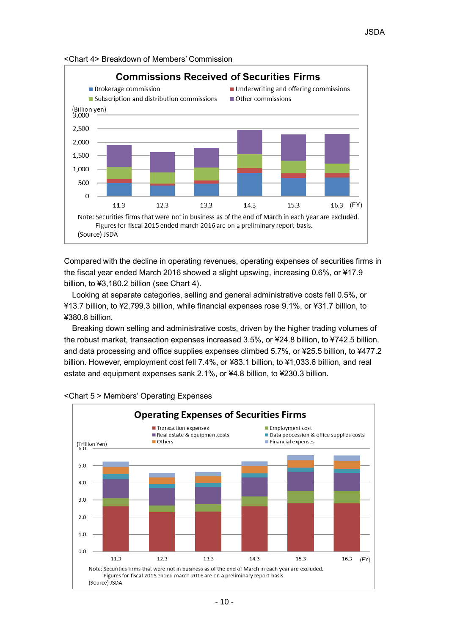

<Chart 4> Breakdown of Members' Commission

Compared with the decline in operating revenues, operating expenses of securities firms in the fiscal year ended March 2016 showed a slight upswing, increasing 0.6%, or ¥17.9 billion, to ¥3,180.2 billion (see Chart 4).

Looking at separate categories, selling and general administrative costs fell 0.5%, or ¥13.7 billion, to ¥2,799.3 billion, while financial expenses rose 9.1%, or ¥31.7 billion, to ¥380.8 billion.

Breaking down selling and administrative costs, driven by the higher trading volumes of the robust market, transaction expenses increased 3.5%, or ¥24.8 billion, to ¥742.5 billion, and data processing and office supplies expenses climbed 5.7%, or ¥25.5 billion, to ¥477.2 billion. However, employment cost fell 7.4%, or ¥83.1 billion, to ¥1,033.6 billion, and real estate and equipment expenses sank 2.1%, or ¥4.8 billion, to ¥230.3 billion.



#### <Chart 5 > Members' Operating Expenses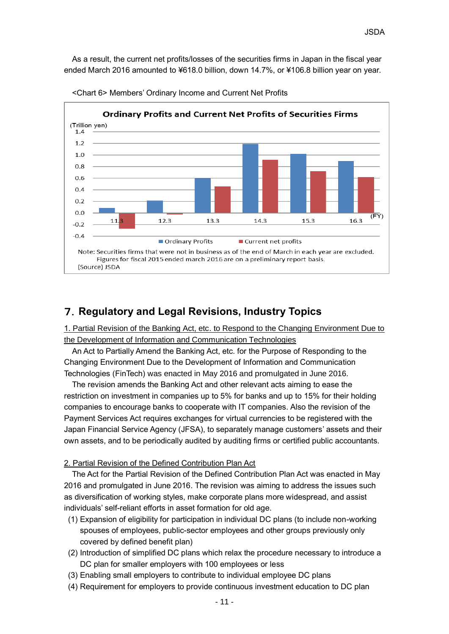As a result, the current net profits/losses of the securities firms in Japan in the fiscal year ended March 2016 amounted to ¥618.0 billion, down 14.7%, or ¥106.8 billion year on year.



<Chart 6> Members' Ordinary Income and Current Net Profits

# 7.**Regulatory and Legal Revisions, Industry Topics**

1. Partial Revision of the Banking Act, etc. to Respond to the Changing Environment Due to the Development of Information and Communication Technologies

An Act to Partially Amend the Banking Act, etc. for the Purpose of Responding to the Changing Environment Due to the Development of Information and Communication Technologies (FinTech) was enacted in May 2016 and promulgated in June 2016.

The revision amends the Banking Act and other relevant acts aiming to ease the restriction on investment in companies up to 5% for banks and up to 15% for their holding companies to encourage banks to cooperate with IT companies. Also the revision of the Payment Services Act requires exchanges for virtual currencies to be registered with the Japan Financial Service Agency (JFSA), to separately manage customers' assets and their own assets, and to be periodically audited by auditing firms or certified public accountants.

### 2. Partial Revision of the Defined Contribution Plan Act

The Act for the Partial Revision of the Defined Contribution Plan Act was enacted in May 2016 and promulgated in June 2016. The revision was aiming to address the issues such as diversification of working styles, make corporate plans more widespread, and assist individuals' self-reliant efforts in asset formation for old age.

- (1) Expansion of eligibility for participation in individual DC plans (to include non-working spouses of employees, public-sector employees and other groups previously only covered by defined benefit plan)
- (2) Introduction of simplified DC plans which relax the procedure necessary to introduce a DC plan for smaller employers with 100 employees or less
- (3) Enabling small employers to contribute to individual employee DC plans
- (4) Requirement for employers to provide continuous investment education to DC plan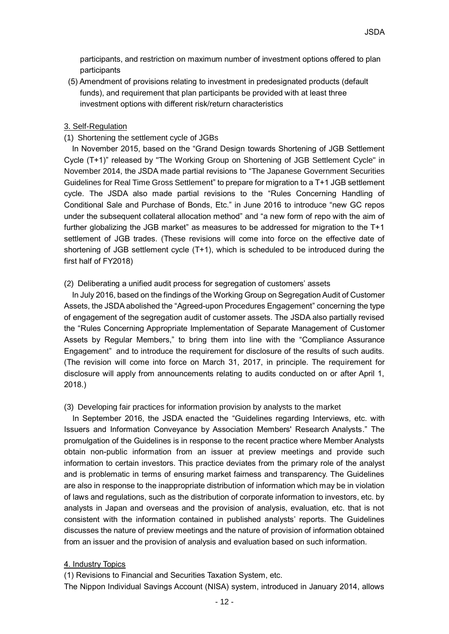participants, and restriction on maximum number of investment options offered to plan participants

(5) Amendment of provisions relating to investment in predesignated products (default funds), and requirement that plan participants be provided with at least three investment options with different risk/return characteristics

### 3. Self-Regulation

### (1) Shortening the settlement cycle of JGBs

In November 2015, based on the "Grand Design towards Shortening of JGB Settlement Cycle (T+1)" released by "The Working Group on Shortening of JGB Settlement Cycle" in November 2014, the JSDA made partial revisions to "The Japanese Government Securities Guidelines for Real Time Gross Settlement" to prepare for migration to a T+1 JGB settlement cycle. The JSDA also made partial revisions to the "Rules Concerning Handling of Conditional Sale and Purchase of Bonds, Etc." in June 2016 to introduce "new GC repos under the subsequent collateral allocation method" and "a new form of repo with the aim of further globalizing the JGB market" as measures to be addressed for migration to the T+1 settlement of JGB trades. (These revisions will come into force on the effective date of shortening of JGB settlement cycle (T+1), which is scheduled to be introduced during the first half of FY2018)

## (2) Deliberating a unified audit process for segregation of customers' assets

In July 2016, based on the findings of the Working Group on Segregation Audit of Customer Assets, the JSDA abolished the "Agreed-upon Procedures Engagement" concerning the type of engagement of the segregation audit of customer assets. The JSDA also partially revised the "Rules Concerning Appropriate Implementation of Separate Management of Customer Assets by Regular Members," to bring them into line with the "Compliance Assurance Engagement" and to introduce the requirement for disclosure of the results of such audits. (The revision will come into force on March 31, 2017, in principle. The requirement for disclosure will apply from announcements relating to audits conducted on or after April 1, 2018.)

### (3) Developing fair practices for information provision by analysts to the market

In September 2016, the JSDA enacted the "Guidelines regarding Interviews, etc. with Issuers and Information Conveyance by Association Members' Research Analysts." The promulgation of the Guidelines is in response to the recent practice where Member Analysts obtain non-public information from an issuer at preview meetings and provide such information to certain investors. This practice deviates from the primary role of the analyst and is problematic in terms of ensuring market fairness and transparency. The Guidelines are also in response to the inappropriate distribution of information which may be in violation of laws and regulations, such as the distribution of corporate information to investors, etc. by analysts in Japan and overseas and the provision of analysis, evaluation, etc. that is not consistent with the information contained in published analysts' reports. The Guidelines discusses the nature of preview meetings and the nature of provision of information obtained from an issuer and the provision of analysis and evaluation based on such information.

### 4. Industry Topics

(1) Revisions to Financial and Securities Taxation System, etc.

The Nippon Individual Savings Account (NISA) system, introduced in January 2014, allows